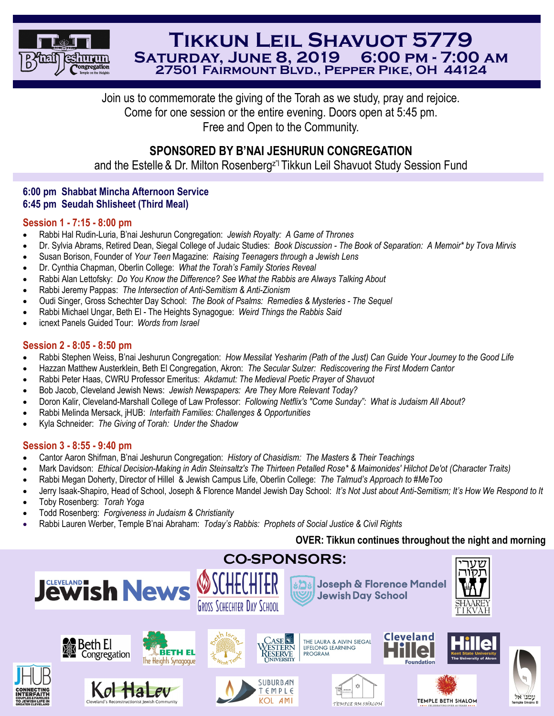

# **Tikkun Leil Shavuot 5779 Saturday, June 8, 2019 6:00 pm - 7:00 am 27501 Fairmount Blvd., Pepper Pike, OH 44124**

Join us to commemorate the giving of the Torah as we study, pray and rejoice. Come for one session or the entire evening. Doors open at 5:45 pm. Free and Open to the Community.

## **SPONSORED BY B'NAI JESHURUN CONGREGATION**

and the Estelle & Dr. Milton Rosenberg<sup>z"</sup>l Tikkun Leil Shavuot Study Session Fund

## **6:00 pm Shabbat Mincha Afternoon Service 6:45 pm Seudah Shlisheet (Third Meal)**

#### **Session 1 - 7:15 - 8:00 pm**

- Rabbi Hal Rudin-Luria, B'nai Jeshurun Congregation: *Jewish Royalty: A Game of Thrones*
- Dr. Sylvia Abrams, Retired Dean, Siegal College of Judaic Studies: *Book Discussion - The Book of Separation: A Memoir\* by Tova Mirvis*
- Susan Borison, Founder of *Your Teen* Magazine: *Raising Teenagers through a Jewish Lens*
- Dr. Cynthia Chapman, Oberlin College: *What the Torah's Family Stories Reveal*
- Rabbi Alan Lettofsky: *Do You Know the Difference? See What the Rabbis are Always Talking About*
- Rabbi Jeremy Pappas: *The Intersection of Anti-Semitism & Anti-Zionism*
- Oudi Singer, Gross Schechter Day School: *The Book of Psalms: Remedies & Mysteries - The Sequel*
- Rabbi Michael Ungar, Beth El The Heights Synagogue: *Weird Things the Rabbis Said*
- icnext Panels Guided Tour: *Words from Israel*

## **Session 2 - 8:05 - 8:50 pm**

- Rabbi Stephen Weiss, B'nai Jeshurun Congregation: *How Messilat Yesharim (Path of the Just) Can Guide Your Journey to the Good Life*
- Hazzan Matthew Austerklein, Beth El Congregation, Akron: *The Secular Sulzer: Rediscovering the First Modern Cantor*
- Rabbi Peter Haas, CWRU Professor Emeritus: *Akdamut: The Medieval Poetic Prayer of Shavuot*
- Bob Jacob, Cleveland Jewish News: *Jewish Newspapers: Are They More Relevant Today?*
- Doron Kalir, Cleveland-Marshall College of Law Professor: *Following Netflix's "Come Sunday": What is Judaism All About?*
- Rabbi Melinda Mersack, jHUB: *Interfaith Families: Challenges & Opportunities*
- Kyla Schneider: *The Giving of Torah: Under the Shadow*

## **Session 3 - 8:55 - 9:40 pm**

- Cantor Aaron Shifman, B'nai Jeshurun Congregation: *History of Chasidism: The Masters & Their Teachings*
- Mark Davidson: *Ethical Decision-Making in Adin Steinsaltz's The Thirteen Petalled Rose\* & Maimonides' Hilchot De'ot (Character Traits)*
- Rabbi Megan Doherty, Director of Hillel & Jewish Campus Life, Oberlin College: *The Talmud's Approach to #MeToo*
- Jerry Isaak-Shapiro, Head of School, Joseph & Florence Mandel Jewish Day School: *It's Not Just about Anti-Semitism; It's How We Respond to It*
- Toby Rosenberg: *Torah Yoga*
- Todd Rosenberg: *Forgiveness in Judaism & Christianity*
- Rabbi Lauren Werber, Temple B'nai Abraham: *Today's Rabbis: Prophets of Social Justice & Civil Rights*

## **OVER: Tikkun continues throughout the night and morning**